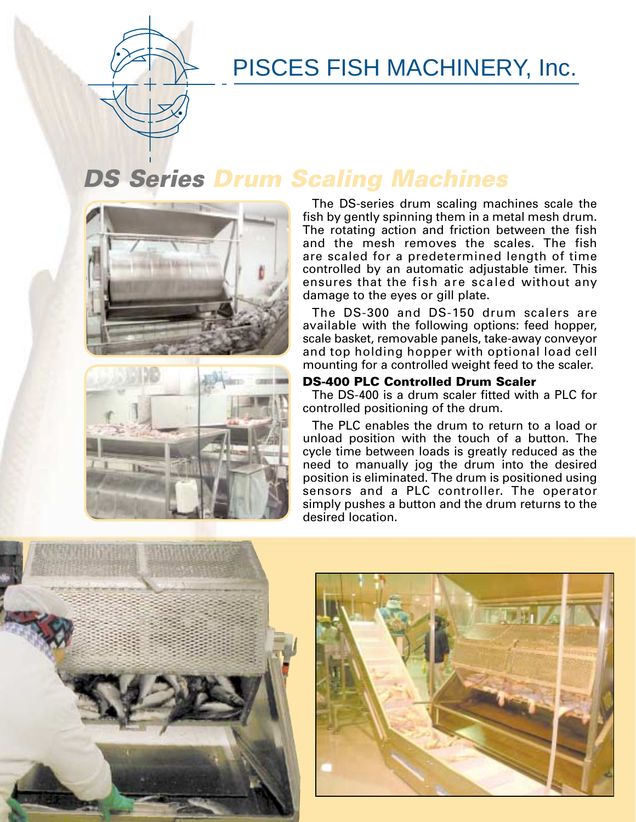# PISCES FISH MACHINERY, Inc.

## **DS Series Drum Scaling Machines**





The DS-series drum scaling machines scale the fish by gently spinning them in a metal mesh drum. The rotating action and friction between the fish and the mesh removes the scales. The fish are scaled for a predetermined length of time controlled by an automatic adjustable timer. This ensures that the fish are scaled without any damage to the eyes or gill plate.

The DS-300 and DS-150 drum scalers are available with the following options: feed hopper, scale basket, removable panels, take-away conveyor and top holding hopper with optional load cell mounting for a controlled weight feed to the scaler.

#### **DS-400 PLC Controlled Drum Scaler**

The DS-400 is a drum scaler fitted with a PLC for controlled positioning of the drum.

The PLC enables the drum to return to a load or unload position with the touch of a button. The cycle time between loads is greatly reduced as the need to manually jog the drum into the desired position is eliminated. The drum is positioned using sensors and a PLC controller. The operator simply pushes a button and the drum returns to the desired location.